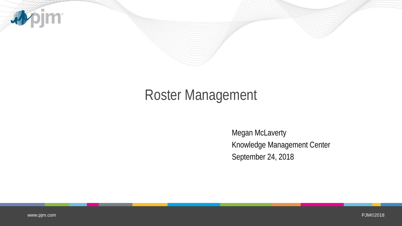

## Roster Management

Megan McLaverty Knowledge Management Center September 24, 2018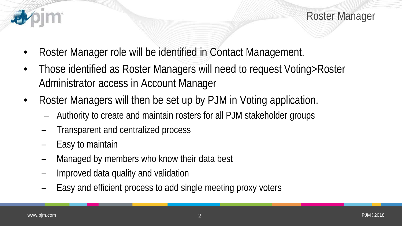

Roster Manager

- Roster Manager role will be identified in Contact Management.
- Those identified as Roster Managers will need to request Voting>Roster Administrator access in Account Manager
- Roster Managers will then be set up by PJM in Voting application.
	- Authority to create and maintain rosters for all PJM stakeholder groups
	- Transparent and centralized process
	- Easy to maintain
	- Managed by members who know their data best
	- Improved data quality and validation
	- Easy and efficient process to add single meeting proxy voters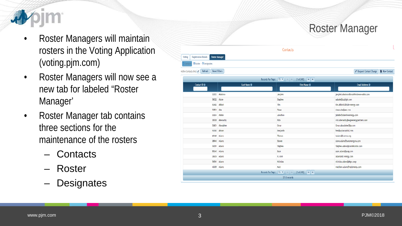

- Roster Managers will maintain rosters in the Voting Application (voting.pjm.com)
- Roster Managers will now see a new tab for labeled "Roster Manager'
- Roster Manager tab contains three sections for the maintenance of the rosters
	- **Contacts**
	- Roster
	- **Designates**

|                                                                  |                                                                 | <b>Roster Manager</b>                 |
|------------------------------------------------------------------|-----------------------------------------------------------------|---------------------------------------|
|                                                                  | <b>Contacts</b>                                                 |                                       |
| ration Details <b>Roster Manager</b><br>ster <b>O</b> Designates |                                                                 |                                       |
| $\vert \cdot \vert$ Refresh<br><b>Reset Filters</b>              |                                                                 | Request Contact Change<br>New Contact |
|                                                                  | Records Per Page: $15 \tcdot \tcdot$ (1 of 248)<br>$\mathbf{B}$ |                                       |

| Contact ID $\Theta$ | Last Name $\Theta$ | First Name $\Theta$                                                                                                    |                                          |  |
|---------------------|--------------------|------------------------------------------------------------------------------------------------------------------------|------------------------------------------|--|
|                     |                    |                                                                                                                        | Email Address $\Theta$                   |  |
|                     |                    |                                                                                                                        |                                          |  |
| 52003               | Abakirov           | Janybek                                                                                                                | janybek.abakirov@brookfieldrenewable.com |  |
| 58022 Abate         |                    | Stephen                                                                                                                | sabate@duqlight.com                      |  |
| 52492 Abbott        |                    | Tim                                                                                                                    | tim.abbott2@duke-energy.com              |  |
| 50821 Ahe           |                    | Steve                                                                                                                  | steve.abe@aes.com                        |  |
| 50304 Abebe         |                    | Jonathan                                                                                                               | jabebe@cleanlineenergy.com               |  |
| 38938 Abernathy     |                    | Rick                                                                                                                   | rick.abernathy@eagleenergypartners.com   |  |
| 53651 Aboudaher     |                    | Omar                                                                                                                   | Omar.aboudaher@bp.com                    |  |
| 51060 Ahram         |                    | Renjamin                                                                                                               | hen@wylancapital.com                     |  |
| 46146 Adams         |                    | Thomas                                                                                                                 | Ladams@lcswma.org                        |  |
| 38940 Adams         |                    | Steven                                                                                                                 | steve.adams@suezenergyna.com             |  |
| 56081 Adams         |                    | Stephen                                                                                                                | Stephen.Adams@constellation.com          |  |
| 55340 Adams         |                    | Sean                                                                                                                   | sean.adams@pseg.com                      |  |
| 38939 Adams         |                    | R.Ware                                                                                                                 | adams@dc-energy.com                      |  |
| 56561 Adams         |                    | <b>Nicholas</b>                                                                                                        | nicholas.adams@ekpc.coop                 |  |
| 43005 Adams         |                    | Matt                                                                                                                   | matthew.adams@mp2energy.com              |  |
|                     |                    | Records Per Page: $\boxed{15 \text{ m}}$   $\approx$   $\approx$   $\boxed{1 \text{ of } 248}$   $\approx$   $\approx$ |                                          |  |
|                     |                    | 3712 records                                                                                                           |                                          |  |

Voting Regist

**Active Contacts Onl**  $\overline{a}$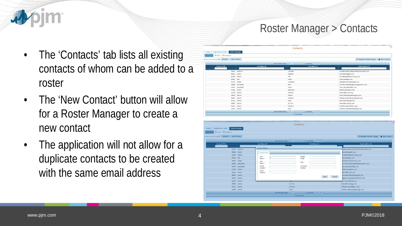## Roster Manager > Contacts

- The 'Contacts' tab lists all existing contacts of whom can be added to a roster
- The 'New Contact' button will allow for a Roster Manager to create a new contact
- The application will not allow for a duplicate contacts to be created with the same email address

|                                                    |                       | Contacts                                 |                                                |
|----------------------------------------------------|-----------------------|------------------------------------------|------------------------------------------------|
| <b>Registration Details</b><br>Voting              | <b>Roster Manager</b> |                                          |                                                |
| <b>Ill</b> Roster O Designates<br><b>Chicomagn</b> |                       |                                          |                                                |
| Active Contacts Only   Refresh   Reset Filters     |                       |                                          | Request Contact Change<br><b>B</b> New Contact |
|                                                    |                       |                                          |                                                |
| Contact ID ®                                       | Last Name @           | First Name O                             | <b>Email Address O</b>                         |
|                                                    | 52003 Abakirov        | Janybek                                  | janybek.abakirov@brookfieldrenewable.com       |
|                                                    | 58022 Abate           | Stephen                                  | sabate@duglight.com                            |
|                                                    | 52492 Abbott          | Tim                                      | tim.abbott2@duke-energy.com                    |
|                                                    | 50821 Abe             | Steve                                    | steve;abe@aes.com                              |
|                                                    | 50304 Abebe           | Jonathan                                 | jabebe@cteantineenergy.com                     |
|                                                    | 38938 Abernathy       | Rick                                     | rick.abernathy@eagleenergypartners.com         |
|                                                    | 53651 Aboudaher       | Omar                                     | Omar, aboudaher@bp.com                         |
|                                                    | 51060 Abram           | <b>Benjamin</b>                          | ben@wylancapital.com                           |
|                                                    | 46146 Adams           | Thomas                                   | tadams@lcswma.org                              |
|                                                    | 38940 Adams           | Steven:                                  | steve.adams@suezenergyna.com                   |
|                                                    | 56081 Adams           | Stephen                                  | Stephen.Adams@constellation.com                |
|                                                    | 55340 Adams           | Sean                                     | sean.adams@pseg.com                            |
|                                                    | 38939 Adams           | R.Vare                                   | adams@dc-energy.com                            |
|                                                    | 56561 Adams           | Nicholas                                 | nicholas.adams@ekpc.coop                       |
|                                                    | 43005 Adams           | Matt                                     | matthew.adams@mp2energy.com                    |
|                                                    |                       | Records Per Page: (15 v c (1 of 248) = > |                                                |
|                                                    |                       | 3712 records                             |                                                |

| Registration Dotails<br>Roster Manager<br>Voting |                 |                              |                                                 |                |                                        |
|--------------------------------------------------|-----------------|------------------------------|-------------------------------------------------|----------------|----------------------------------------|
| Roster O Designates                              |                 |                              |                                                 |                |                                        |
| Active Contacts Only V Refresh Reset Filters     |                 |                              |                                                 |                | Request Contact Change   & New Contact |
|                                                  |                 |                              | Records Per Page: 15 + 1 = 1 = (1 of 240) = + + |                |                                        |
| Contact ID &                                     |                 | Last Namo @                  | First Hame O                                    |                | <b>Email Address 6</b>                 |
|                                                  |                 | <b>Create Contact</b>        |                                                 |                |                                        |
|                                                  | 52003 Abakirov  |                              |                                                 |                | mybek.abakirov@brookfieldrenewable.com |
|                                                  | 58022 Ahate     | Contact Info                 |                                                 |                | bate@duglight.com                      |
|                                                  | 52492 Abbott    | First                        | <b>Middle</b>                                   |                | m.abbott2@duke-energy.com              |
| 50821 Abe                                        |                 | Name."                       | initial                                         |                | eve.abe@aes.com                        |
|                                                  | 50304 Abebe     | Last                         | Title                                           |                | bebe@cleanlineenergy.com               |
|                                                  | 38938 Abernathy | Name "                       |                                                 |                | ck.abernathy@eagleenergypartners.com   |
|                                                  | 53651 Aboudaher | Phone<br>Number <sup>1</sup> | Alt Phone<br>Number                             |                | mar.aboudaher@bp.com                   |
|                                                  | 51060 Abram     | Email                        |                                                 |                | in@wytancapital.com                    |
|                                                  | 46146 Adams     | Address "                    |                                                 |                | dams@lcswma.org                        |
|                                                  | 38940 Adams     |                              |                                                 |                | eve, adams@suezenergyna.com            |
|                                                  | 56081 Adams     |                              |                                                 | Cancel<br>Save | aphen.Adams@constellation.com          |
|                                                  | 55340 Adams     |                              |                                                 |                | tean.adams@pseg.com                    |
|                                                  | 38939 Adams     |                              | R.V/are                                         |                | adams@dc-energy.com                    |
|                                                  | 56561 Adams     |                              | Nicholas                                        |                | nicholas, adams@ekpc.coco              |
|                                                  | 43005 Adams     |                              | <b>Matt</b>                                     |                | matthew.adams@mp2energy.com            |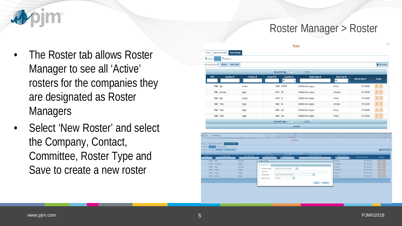

Roster Manager > Roster

- The Roster tab allows Roster Manager to see all 'Active' rosters for the companies they are designated as Roster **Managers**
- Select 'New Roster' and select the Company, Contact, Committee, Roster Type and Save to create a new roster

| <b>D</b> contacts<br>ictive Rosters Only | <b>O</b> Designates<br>Refresh<br><b>Reset Filters</b> |                     |                     |                           |                                           |                                   |                         | New Roster                                                                                                                                                                                                                                                                                                                                                                                                                                                                                                                                |
|------------------------------------------|--------------------------------------------------------|---------------------|---------------------|---------------------------|-------------------------------------------|-----------------------------------|-------------------------|-------------------------------------------------------------------------------------------------------------------------------------------------------------------------------------------------------------------------------------------------------------------------------------------------------------------------------------------------------------------------------------------------------------------------------------------------------------------------------------------------------------------------------------------|
|                                          |                                                        |                     |                     |                           | Records Per Page: 15 v + + + (1 of 1) + + |                                   |                         |                                                                                                                                                                                                                                                                                                                                                                                                                                                                                                                                           |
| $D \theta$                               | Last Name $\Theta$                                     | <b>First Name O</b> | Contact ID $\Theta$ | Committee $\Theta$<br>All | Member Name $\Theta$                      | Roster Type @<br>All<br>$\bullet$ | <b>Effective Date @</b> | <b>Actions</b>                                                                                                                                                                                                                                                                                                                                                                                                                                                                                                                            |
| 70686 Egam                               |                                                        | Amanda              |                     | 51640 CCPPSTF             | Mohitha's New Company                     | Primary                           | 09/18/2018              | $\frac{1}{2}$                                                                                                                                                                                                                                                                                                                                                                                                                                                                                                                             |
|                                          | 70684 McLaverty                                        | Megan               | 64741 MIC           |                           | Mohitha's New Company                     | Alternate                         | 09/18/2018              | $ 1 $ 3                                                                                                                                                                                                                                                                                                                                                                                                                                                                                                                                   |
| 70683 Egam                               |                                                        | Amanda              | 51640 CS            |                           | Mohitha's New Company                     | Primary                           | 09/18/2018              | 直                                                                                                                                                                                                                                                                                                                                                                                                                                                                                                                                         |
|                                          | 70682 Tester                                           | Megan               | 64981 MC            |                           | Mohitha's New Company                     | Alternate                         | 09/18/2018              | $\begin{array}{c c c c c} \hline \rule{0pt}{2ex} & \quad \quad \text{if} \quad \quad \text{if} \quad \quad \text{if} \quad \quad \text{if} \quad \quad \text{if} \quad \quad \text{if} \quad \quad \text{if} \quad \quad \text{if} \quad \quad \text{if} \quad \quad \text{if} \quad \quad \text{if} \quad \quad \text{if} \quad \quad \text{if} \quad \quad \text{if} \quad \quad \text{if} \quad \quad \text{if} \quad \quad \text{if} \quad \quad \text{if} \quad \quad \text{if} \quad \quad \text{if} \quad \quad \text{if} \quad \$ |
|                                          | 70681 Tester                                           | Megan               | 64981 MIC           |                           | Mohitha's New Company                     | Primary                           | 09/18/2018              | R<br>$\mathcal{L}$                                                                                                                                                                                                                                                                                                                                                                                                                                                                                                                        |
|                                          | 70680 Tester                                           | Megan               | 64981 MRC           |                           | Mohitha's New Company                     | Primary                           | 09/18/2018              | $  $ 8                                                                                                                                                                                                                                                                                                                                                                                                                                                                                                                                    |
|                                          |                                                        |                     |                     |                           | Records Per Page: 15 v + (1 of 1) + +     |                                   |                         |                                                                                                                                                                                                                                                                                                                                                                                                                                                                                                                                           |
|                                          |                                                        |                     |                     |                           | 6 records                                 |                                   |                         |                                                                                                                                                                                                                                                                                                                                                                                                                                                                                                                                           |
|                                          |                                                        |                     |                     |                           |                                           |                                   |                         |                                                                                                                                                                                                                                                                                                                                                                                                                                                                                                                                           |
| pjm   Voting                             |                                                        |                     |                     | Roster                    |                                           |                                   |                         |                                                                                                                                                                                                                                                                                                                                                                                                                                                                                                                                           |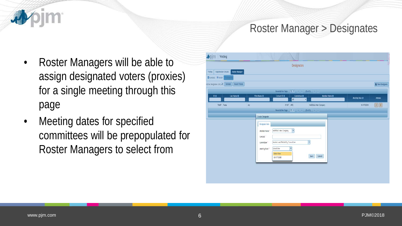## Roster Manager > Designates

- Roster Managers will be able to assign designated voters (proxies) for a single meeting through this page
- Meeting dates for specified committees will be prepopulated for Roster Managers to select from

| <b>Roster Manager</b> |                                                       |                                                    |                                                                                                                                                        |                       |
|-----------------------|-------------------------------------------------------|----------------------------------------------------|--------------------------------------------------------------------------------------------------------------------------------------------------------|-----------------------|
|                       |                                                       |                                                    |                                                                                                                                                        |                       |
|                       |                                                       |                                                    |                                                                                                                                                        |                       |
|                       |                                                       |                                                    |                                                                                                                                                        | New Designate         |
|                       |                                                       |                                                    |                                                                                                                                                        |                       |
| First Name @          | Contact ID @                                          | Member Name O                                      |                                                                                                                                                        | Actions               |
|                       |                                                       | п                                                  |                                                                                                                                                        |                       |
| 381                   | 39187 MRC                                             |                                                    | 10/17/2018                                                                                                                                             | 71                    |
|                       |                                                       |                                                    |                                                                                                                                                        |                       |
| Create Designate      |                                                       |                                                    |                                                                                                                                                        |                       |
|                       |                                                       |                                                    |                                                                                                                                                        |                       |
|                       |                                                       |                                                    |                                                                                                                                                        |                       |
|                       |                                                       |                                                    |                                                                                                                                                        |                       |
| Contact               |                                                       |                                                    |                                                                                                                                                        |                       |
| Committee '           | Markets and Reliability Committee                     | $\mathbf{v}$                                       |                                                                                                                                                        |                       |
| Meeting Date 1        | Select One<br>٠                                       |                                                    |                                                                                                                                                        |                       |
|                       | Select One                                            |                                                    |                                                                                                                                                        |                       |
|                       | 10/17/2018                                            |                                                    |                                                                                                                                                        |                       |
|                       | <b>Reset Fliters</b><br>Designate Info<br>Member Name | All<br>$\bar{\mathbf{v}}$<br>Mohitha's New Company | Records Per Page: (15 T) and (1 of 1) and (4)<br>Committee @<br>Mohitha's New Company<br>Records Per Page: (15 m) on (1 of 1) and an<br>Cancel<br>Save | Meeting Date $\Theta$ |

**im** 

看